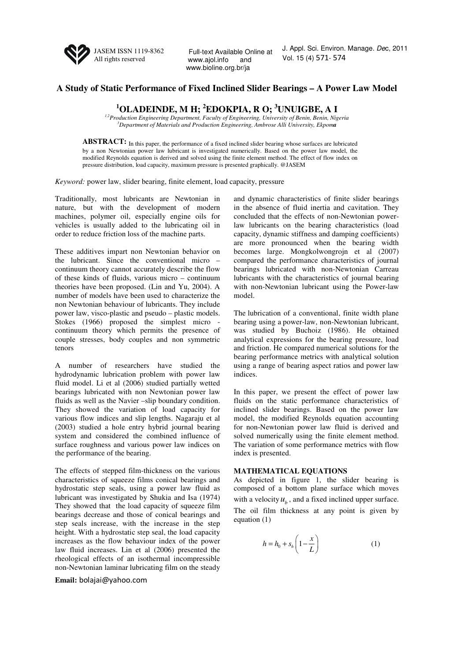

Full-text Available Online at www.ajol.info and www.bioline.org.br/ja

J. Appl. Sci. Environ. Manage. Dec, 2011 Vol. 15 (4) 571- 574

## **A Study of Static Performance of Fixed Inclined Slider Bearings – A Power Law Model**

**<sup>1</sup>OLADEINDE, M H; <sup>2</sup>EDOKPIA, R O; <sup>3</sup>UNUIGBE, A I** 

*1,2Production Engineering Department, Faculty of Engineering, University of Benin, Benin, Nigeria <sup>3</sup>Department of Materials and Production Engineering, Ambrose Alli University, Ekpoma* 

**ABSTRACT:** In this paper, the performance of a fixed inclined slider bearing whose surfaces are lubricated by a non Newtonian power law lubricant is investigated numerically. Based on the power law model, the modified Reynolds equation is derived and solved using the finite element method. The effect of flow index on pressure distribution, load capacity, maximum pressure is presented graphically. @JASEM

*Keyword:* power law, slider bearing, finite element, load capacity, pressure

Traditionally, most lubricants are Newtonian in nature, but with the development of modern machines, polymer oil, especially engine oils for vehicles is usually added to the lubricating oil in order to reduce friction loss of the machine parts.

These additives impart non Newtonian behavior on the lubricant. Since the conventional micro – continuum theory cannot accurately describe the flow of these kinds of fluids, various micro – continuum theories have been proposed. (Lin and Yu, 2004). A number of models have been used to characterize the non Newtonian behaviour of lubricants. They include power law, visco-plastic and pseudo – plastic models. Stokes (1966) proposed the simplest micro continuum theory which permits the presence of couple stresses, body couples and non symmetric tenors

A number of researchers have studied the hydrodynamic lubrication problem with power law fluid model. Li et al (2006) studied partially wetted bearings lubricated with non Newtonian power law fluids as well as the Navier –slip boundary condition. They showed the variation of load capacity for various flow indices and slip lengths. Nagaraju et al (2003) studied a hole entry hybrid journal bearing system and considered the combined influence of surface roughness and various power law indices on the performance of the bearing.

The effects of stepped film-thickness on the various characteristics of squeeze films conical bearings and hydrostatic step seals, using a power law fluid as lubricant was investigated by Shukia and Isa (1974) They showed that the load capacity of squeeze film bearings decrease and those of conical bearings and step seals increase, with the increase in the step height. With a hydrostatic step seal, the load capacity increases as the flow behaviour index of the power law fluid increases. Lin et al (2006) presented the rheological effects of an isothermal incompressible non-Newtonian laminar lubricating film on the steady

**Email:** bolajai@yahoo.com

and dynamic characteristics of finite slider bearings in the absence of fluid inertia and cavitation. They concluded that the effects of non-Newtonian powerlaw lubricants on the bearing characteristics (load capacity, dynamic stiffness and damping coefficients) are more pronounced when the bearing width becomes large. Mongkolwongrojn et al (2007) compared the performance characteristics of journal bearings lubricated with non-Newtonian Carreau lubricants with the characteristics of journal bearing with non-Newtonian lubricant using the Power-law model.

The lubrication of a conventional, finite width plane bearing using a power-law, non-Newtonian lubricant, was studied by Buchoiz (1986). He obtained analytical expressions for the bearing pressure, load and friction. He compared numerical solutions for the bearing performance metrics with analytical solution using a range of bearing aspect ratios and power law indices.

In this paper, we present the effect of power law fluids on the static performance characteristics of inclined slider bearings. Based on the power law model, the modified Reynolds equation accounting for non-Newtonian power law fluid is derived and solved numerically using the finite element method. The variation of some performance metrics with flow index is presented.

## **MATHEMATICAL EQUATIONS**

As depicted in figure 1, the slider bearing is composed of a bottom plane surface which moves with a velocity  $u_b$ , and a fixed inclined upper surface. The oil film thickness at any point is given by equation (1)

$$
h = h_0 + s_h \left( 1 - \frac{x}{L} \right) \tag{1}
$$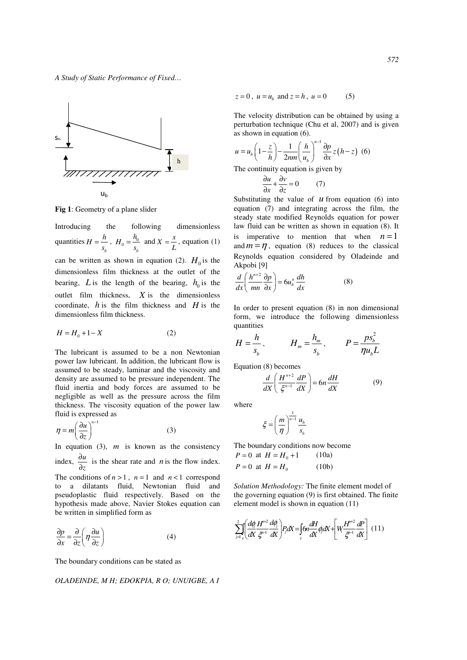*A Study of Static Performance of Fixed…* 



**Fig 1**: Geometry of a plane slider

Introducing the following dimensionless quantities *b*  $H = \frac{h}{s_b}$ ,  $H_0 = \frac{h_0}{s_b}$  $H_0 = \frac{h_0}{s_h}$  and  $X = \frac{x}{L}$ , equation (1) can be written as shown in equation (2).  $H_0$  is the dimensionless film thickness at the outlet of the bearing,  $L$  is the length of the bearing,  $h_0$  is the outlet film thickness, *X* is the dimensionless coordinate,  $h$  is the film thickness and  $H$  is the dimensionless film thickness.

$$
H = H_0 + 1 - X \tag{2}
$$

The lubricant is assumed to be a non Newtonian power law lubricant. In addition, the lubricant flow is assumed to be steady, laminar and the viscosity and density are assumed to be pressure independent. The fluid inertia and body forces are assumed to be negligible as well as the pressure across the film thickness. The viscosity equation of the power law fluid is expressed as

$$
\eta = m \left(\frac{\partial u}{\partial z}\right)^{n-1} \tag{3}
$$

In equation (3), *m* is known as the consistency ∂

index,  $\frac{\partial u}{\partial z}$  $\frac{\partial u}{\partial z}$  is the shear rate and *n* is the flow index.

The conditions of  $n > 1$ ,  $n = 1$  and  $n < 1$  correspond to a dilatants fluid, Newtonian fluid and pseudoplastic fluid respectively. Based on the hypothesis made above, Navier Stokes equation can be written in simplified form as

$$
\frac{\partial p}{\partial x} = \frac{\partial}{\partial z} \left( \eta \frac{\partial u}{\partial z} \right) \tag{4}
$$

The boundary conditions can be stated as

*OLADEINDE, M H; EDOKPIA, R O; UNUIGBE, A I* 

$$
z = 0
$$
,  $u = u_b$  and  $z = h$ ,  $u = 0$  (5)

The velocity distribution can be obtained by using a perturbation technique (Chu et al, 2007) and is given as shown in equation (6).

$$
u = u_b \left( 1 - \frac{z}{h} \right) - \frac{1}{2nm} \left( \frac{h}{u_b} \right)^{n-1} \frac{\partial p}{\partial x} z(h - z) \tag{6}
$$

The continuity equation is given by

$$
\frac{\partial u}{\partial x} + \frac{\partial v}{\partial z} = 0 \tag{7}
$$

Substituting the value of  *from equation (6) into* equation (7) and integrating across the film, the steady state modified Reynolds equation for power law fluid can be written as shown in equation (8). It is imperative to mention that when  $n=1$ and  $m = \eta$ , equation (8) reduces to the classical Reynolds equation considered by Oladeinde and Akpobi [9]

$$
\frac{d}{dx}\left(\frac{h^{n+2}}{mn}\frac{\partial p}{\partial x}\right) = 6u_b^n \frac{dh}{dx}
$$
 (8)

In order to present equation (8) in non dimensional form, we introduce the following dimensionless quantities

$$
H = \frac{h}{s_b}, \qquad H_m = \frac{h_m}{s_b}, \qquad P = \frac{ps_b^2}{\eta u_b L}
$$

Equation (8) becomes

$$
\frac{d}{dX}\left(\frac{H^{n+2}}{\xi^{n-1}}\frac{dP}{dX}\right) = 6n\frac{dH}{dX}
$$
\n(9)

where

$$
\xi = \left(\frac{m}{\eta}\right)^{\frac{1}{n-1}} \frac{u_b}{s_b}
$$

The boundary conditions now become

$$
P = 0
$$
 at  $H = H_0 + 1$  (10a)  
\n $P = 0$  at  $H = H_0$  (10b)

*Solution Methodology:* The finite element model of the governing equation (9) is first obtained. The finite element model is shown in equation (11)

$$
\sum_{j=1}^{2} \left( \frac{d\phi}{dX} \frac{H^{n+2}}{\xi^{n-1}} \frac{d\phi_j}{dX} \right) P_j dX = \int_{e} 6n \frac{dH}{dX} \phi_j dX + \left[ W_i \frac{H^{n+2}}{\xi^{n-1}} \frac{dP}{dX} \right] (11)
$$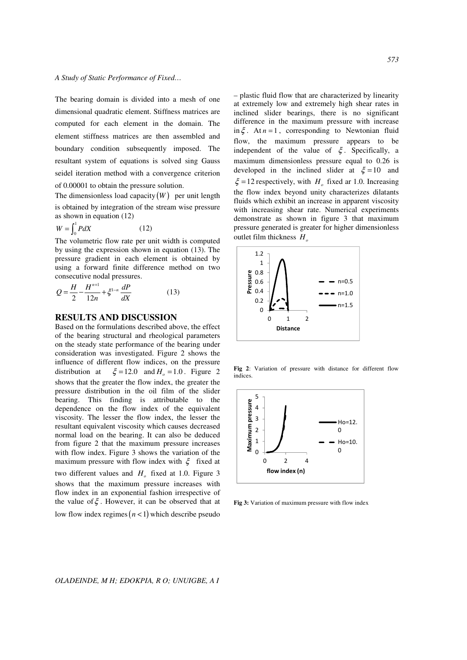The bearing domain is divided into a mesh of one dimensional quadratic element. Stiffness matrices are computed for each element in the domain. The element stiffness matrices are then assembled and boundary condition subsequently imposed. The resultant system of equations is solved sing Gauss seidel iteration method with a convergence criterion of 0.00001 to obtain the pressure solution.

The dimensionless load capacity  $(W)$  per unit length is obtained by integration of the stream wise pressure as shown in equation (12)

$$
W = \int_0^1 P dX \tag{12}
$$

The volumetric flow rate per unit width is computed by using the expression shown in equation (13). The pressure gradient in each element is obtained by using a forward finite difference method on two consecutive nodal pressures.

$$
Q = \frac{H}{2} - \frac{H^{n+1}}{12n} + \zeta^{1-n} \frac{dP}{dX}
$$
 (13)

## **RESULTS AND DISCUSSION**

Based on the formulations described above, the effect of the bearing structural and rheological parameters on the steady state performance of the bearing under consideration was investigated. Figure 2 shows the influence of different flow indices, on the pressure distribution at  $\xi = 12.0$  and  $H<sub>o</sub> = 1.0$ . Figure 2 shows that the greater the flow index, the greater the pressure distribution in the oil film of the slider bearing. This finding is attributable to the dependence on the flow index of the equivalent viscosity. The lesser the flow index, the lesser the resultant equivalent viscosity which causes decreased normal load on the bearing. It can also be deduced from figure 2 that the maximum pressure increases with flow index. Figure 3 shows the variation of the maximum pressure with flow index with  $\xi$  fixed at two different values and  $H_o$  fixed at 1.0. Figure 3 shows that the maximum pressure increases with flow index in an exponential fashion irrespective of the value of  $\xi$ . However, it can be observed that at low flow index regimes  $(n < 1)$  which describe pseudo

– plastic fluid flow that are characterized by linearity at extremely low and extremely high shear rates in inclined slider bearings, there is no significant difference in the maximum pressure with increase in  $\xi$ . At  $n = 1$ , corresponding to Newtonian fluid flow, the maximum pressure appears to be independent of the value of  $\xi$ . Specifically, a maximum dimensionless pressure equal to 0.26 is developed in the inclined slider at  $\xi = 10$  and  $\xi = 12$  respectively, with  $H_o$  fixed ar 1.0. Increasing the flow index beyond unity characterizes dilatants fluids which exhibit an increase in apparent viscosity with increasing shear rate. Numerical experiments demonstrate as shown in figure 3 that maximum pressure generated is greater for higher dimensionless outlet film thickness *H<sup>o</sup>*



**Fig 2**: Variation of pressure with distance for different flow indices.



**Fig 3:** Variation of maximum pressure with flow index